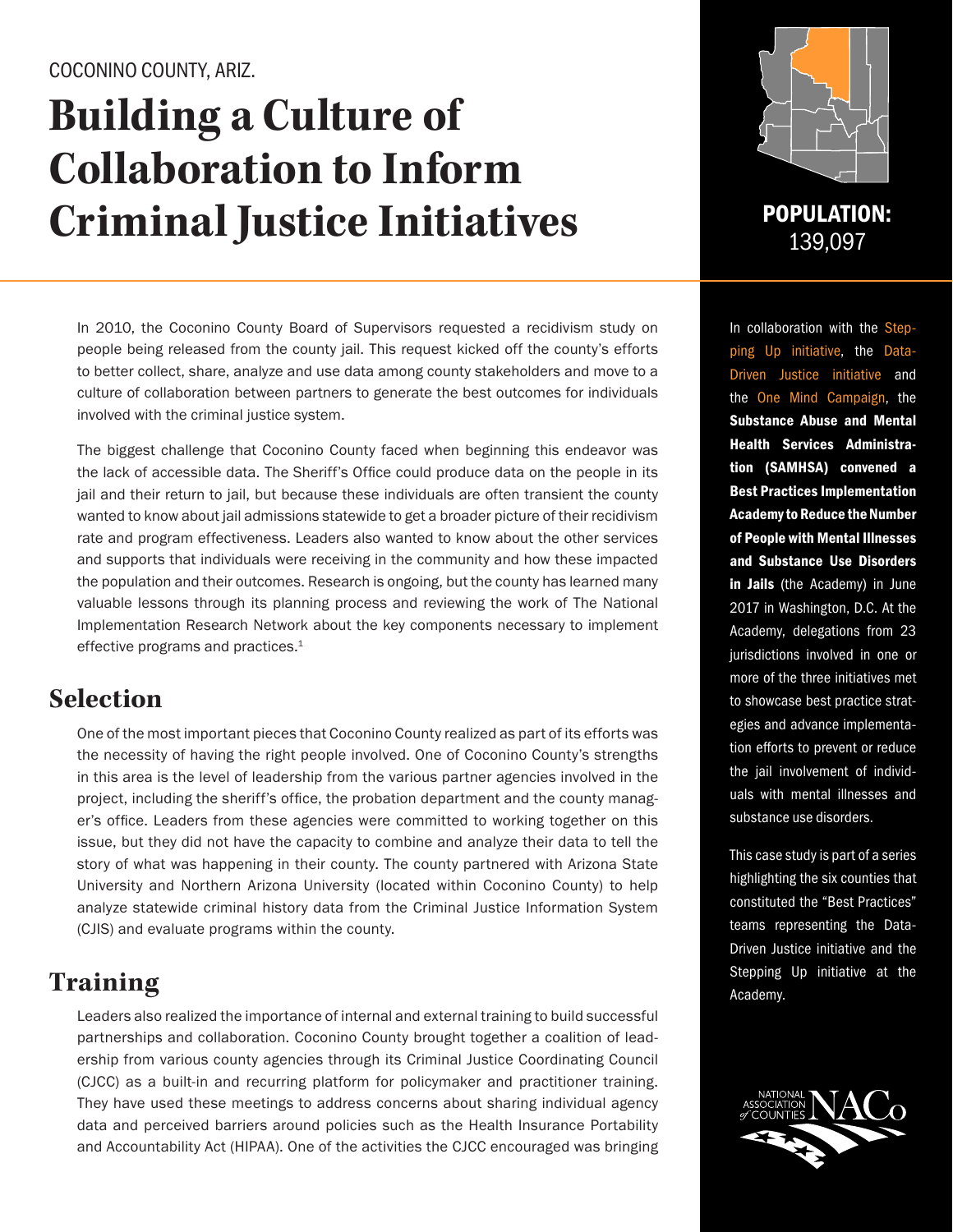#### COCONINO COUNTY, ARIZ.

# **Building a Culture of Collaboration to Inform Criminal Justice Initiatives** POPULATION:

In 2010, the Coconino County Board of Supervisors requested a recidivism study on people being released from the county jail. This request kicked off the county's efforts to better collect, share, analyze and use data among county stakeholders and move to a culture of collaboration between partners to generate the best outcomes for individuals involved with the criminal justice system.

The biggest challenge that Coconino County faced when beginning this endeavor was the lack of accessible data. The Sheriff's Office could produce data on the people in its jail and their return to jail, but because these individuals are often transient the county wanted to know about jail admissions statewide to get a broader picture of their recidivism rate and program effectiveness. Leaders also wanted to know about the other services and supports that individuals were receiving in the community and how these impacted the population and their outcomes. Research is ongoing, but the county has learned many valuable lessons through its planning process and reviewing the work of The National Implementation Research Network about the key components necessary to implement effective programs and practices.1

### **Selection**

One of the most important pieces that Coconino County realized as part of its efforts was the necessity of having the right people involved. One of Coconino County's strengths in this area is the level of leadership from the various partner agencies involved in the project, including the sheriff's office, the probation department and the county manager's office. Leaders from these agencies were committed to working together on this issue, but they did not have the capacity to combine and analyze their data to tell the story of what was happening in their county. The county partnered with Arizona State University and Northern Arizona University (located within Coconino County) to help analyze statewide criminal history data from the Criminal Justice Information System (CJIS) and evaluate programs within the county.

# **Training**

Leaders also realized the importance of internal and external training to build successful partnerships and collaboration. Coconino County brought together a coalition of leadership from various county agencies through its Criminal Justice Coordinating Council (CJCC) as a built-in and recurring platform for policymaker and practitioner training. They have used these meetings to address concerns about sharing individual agency data and perceived barriers around policies such as the Health Insurance Portability and Accountability Act (HIPAA). One of the activities the CJCC encouraged was bringing



139,097

In collaboration with the Stepping Up initiative, the Data-Driven Justice initiative and the One Mind Campaign, the Substance Abuse and Mental Health Services Administration (SAMHSA) convened a Best Practices Implementation Academy to Reduce the Number of People with Mental Illnesses and Substance Use Disorders in Jails (the Academy) in June 2017 in Washington, D.C. At the Academy, delegations from 23 jurisdictions involved in one or more of the three initiatives met to showcase best practice strategies and advance implementation efforts to prevent or reduce the jail involvement of individuals with mental illnesses and substance use disorders.

This case study is part of a series highlighting the six counties that constituted the "Best Practices" teams representing the Data-Driven Justice initiative and the Stepping Up initiative at the Academy.